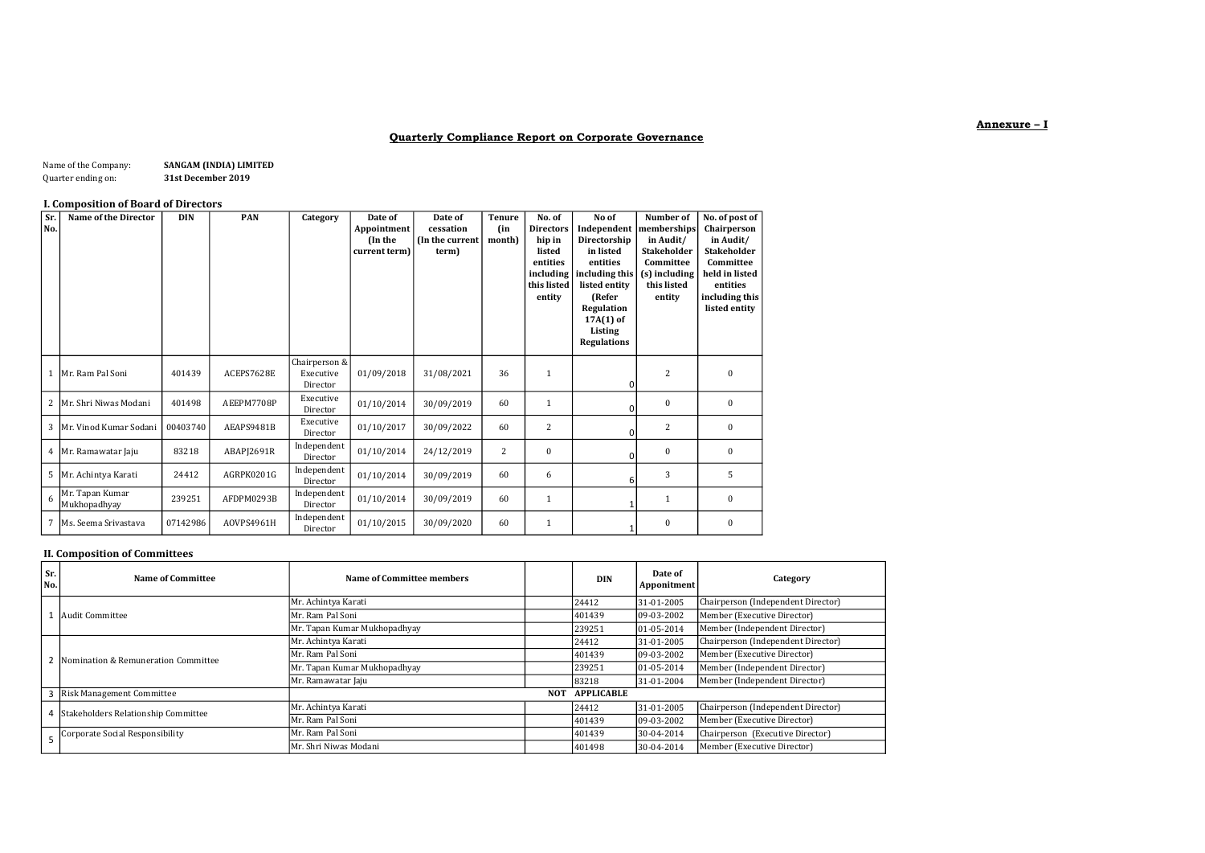### Quarterly Compliance Report on Corporate Governance

| Name of the Company: | SANGAM (INDIA) LIMITED |
|----------------------|------------------------|
| Quarter ending on:   | 31st December 2019     |

### I. Composition of Board of Directors

| Sr.<br>No.     | <b>Name of the Director</b>     | <b>DIN</b> | <b>PAN</b> | Category                               | Date of<br>Appointment<br>(In the<br>current term) | Date of<br>cessation<br>(In the current<br>term) | Tenure<br>(in<br>month) | No. of<br><b>Directors</b><br>hip in<br>listed<br>entities<br>including<br>this listed<br>entity | No of<br>Independent<br>Directorship<br>in listed<br>entities<br>including this<br>listed entity<br>(Refer<br>Regulation<br>$17A(1)$ of<br>Listing<br><b>Regulations</b> | Number of<br>memberships<br>in Audit/<br><b>Stakeholder</b><br>Committee<br>(s) including<br>this listed<br>entity | No. of post of<br>Chairperson<br>in Audit/<br><b>Stakeholder</b><br>Committee<br>held in listed<br>entities<br>including this<br>listed entity |
|----------------|---------------------------------|------------|------------|----------------------------------------|----------------------------------------------------|--------------------------------------------------|-------------------------|--------------------------------------------------------------------------------------------------|--------------------------------------------------------------------------------------------------------------------------------------------------------------------------|--------------------------------------------------------------------------------------------------------------------|------------------------------------------------------------------------------------------------------------------------------------------------|
|                | 1 Mr. Ram Pal Soni              | 401439     | ACEPS7628E | Chairperson &<br>Executive<br>Director | 01/09/2018                                         | 31/08/2021                                       | 36                      | 1                                                                                                | $\Omega$                                                                                                                                                                 | $\overline{2}$                                                                                                     | $\bf{0}$                                                                                                                                       |
| $\overline{2}$ | Mr. Shri Niwas Modani           | 401498     | AEEPM7708P | Executive<br>Director                  | 01/10/2014                                         | 30/09/2019                                       | 60                      | 1                                                                                                | 0                                                                                                                                                                        | $\mathbf{0}$                                                                                                       | $\mathbf{0}$                                                                                                                                   |
| 3              | Mr. Vinod Kumar Sodani          | 00403740   | AEAPS9481B | Executive<br>Director                  | 01/10/2017                                         | 30/09/2022                                       | 60                      | $\overline{c}$                                                                                   | 0                                                                                                                                                                        | 2                                                                                                                  | $\mathbf{0}$                                                                                                                                   |
|                | 4   Mr. Ramawatar Jaju          | 83218      | ABAPJ2691R | Independent<br>Director                | 01/10/2014                                         | 24/12/2019                                       | 2                       | $\mathbf{0}$                                                                                     | 0                                                                                                                                                                        | $\mathbf{0}$                                                                                                       | $\bf{0}$                                                                                                                                       |
| 5              | Mr. Achintya Karati             | 24412      | AGRPK0201G | Independent<br>Director                | 01/10/2014                                         | 30/09/2019                                       | 60                      | 6                                                                                                | 6                                                                                                                                                                        | 3                                                                                                                  | 5                                                                                                                                              |
| 6              | Mr. Tapan Kumar<br>Mukhopadhyay | 239251     | AFDPM0293B | Independent<br>Director                | 01/10/2014                                         | 30/09/2019                                       | 60                      | $\mathbf{1}$                                                                                     |                                                                                                                                                                          | 1                                                                                                                  | $\bf{0}$                                                                                                                                       |
| 7              | lMs. Seema Srivastava           | 07142986   | AOVPS4961H | Independent<br>Director                | 01/10/2015                                         | 30/09/2020                                       | 60                      | $\mathbf{1}$                                                                                     |                                                                                                                                                                          | $\Omega$                                                                                                           | $\mathbf{0}$                                                                                                                                   |

# II. Composition of Committees

| Sr.<br>No. | Name of Committee                   | Name of Committee members    |  | <b>DIN</b> | Date of<br>Apponitment | Category                           |
|------------|-------------------------------------|------------------------------|--|------------|------------------------|------------------------------------|
|            |                                     | Mr. Achintya Karati          |  | 24412      | 31-01-2005             | Chairperson (Independent Director) |
|            | Audit Committee                     | Mr. Ram Pal Soni             |  | 401439     | 09-03-2002             | Member (Executive Director)        |
|            |                                     | Mr. Tapan Kumar Mukhopadhyay |  | 239251     | $ 01-05-2014 $         | Member (Independent Director)      |
|            |                                     | Mr. Achintya Karati          |  | 24412      | 31-01-2005             | Chairperson (Independent Director) |
|            | Nomination & Remuneration Committee | Mr. Ram Pal Soni             |  | 401439     | 09-03-2002             | Member (Executive Director)        |
|            |                                     | Mr. Tapan Kumar Mukhopadhyay |  | 239251     | $ 01-05-2014 $         | Member (Independent Director)      |
|            |                                     | Mr. Ramawatar Jaju           |  | 83218      | 31-01-2004             | Member (Independent Director)      |
|            | 3 Risk Management Committee         | <b>APPLICABLE</b><br>NOT     |  |            |                        |                                    |
|            | Stakeholders Relationship Committee | Mr. Achintya Karati          |  | 24412      | 31-01-2005             | Chairperson (Independent Director) |
|            |                                     | Mr. Ram Pal Soni             |  | 401439     | 09-03-2002             | Member (Executive Director)        |
|            | Corporate Social Responsibility     | Mr. Ram Pal Soni             |  | 401439     | 30-04-2014             | Chairperson (Executive Director)   |
|            |                                     | Mr. Shri Niwas Modani        |  | 401498     | 30-04-2014             | Member (Executive Director)        |

#### Annexure – I